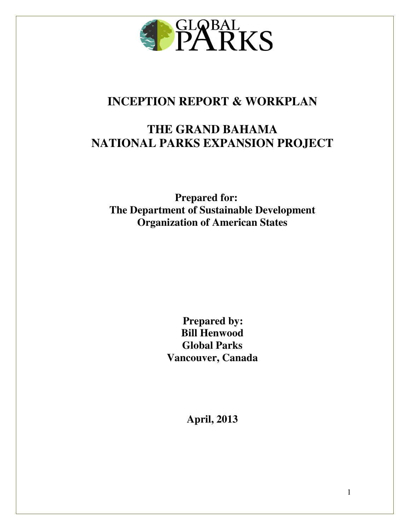

# **INCEPTION REPORT & WORKPLAN**

# **THE GRAND BAHAMA NATIONAL PARKS EXPANSION PROJECT**

**Prepared for: The Department of Sustainable Development Organization of American States** 

> **Prepared by: Bill Henwood Global Parks Vancouver, Canada**

> > **April, 2013**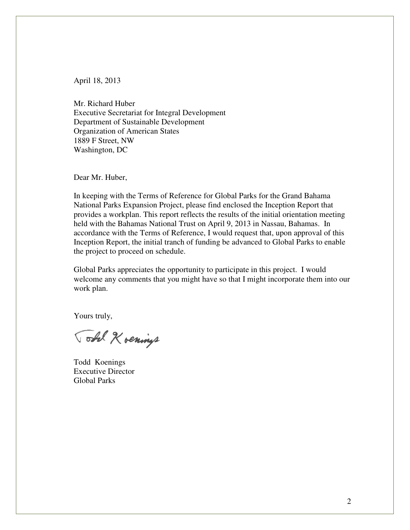April 18, 2013

Mr. Richard Huber Executive Secretariat for Integral Development Department of Sustainable Development Organization of American States 1889 F Street, NW Washington, DC

Dear Mr. Huber,

In keeping with the Terms of Reference for Global Parks for the Grand Bahama National Parks Expansion Project, please find enclosed the Inception Report that provides a workplan. This report reflects the results of the initial orientation meeting held with the Bahamas National Trust on April 9, 2013 in Nassau, Bahamas. In accordance with the Terms of Reference, I would request that, upon approval of this Inception Report, the initial tranch of funding be advanced to Global Parks to enable the project to proceed on schedule.

Global Parks appreciates the opportunity to participate in this project. I would welcome any comments that you might have so that I might incorporate them into our work plan.

Yours truly,

Total Kvenings

Todd Koenings Executive Director Global Parks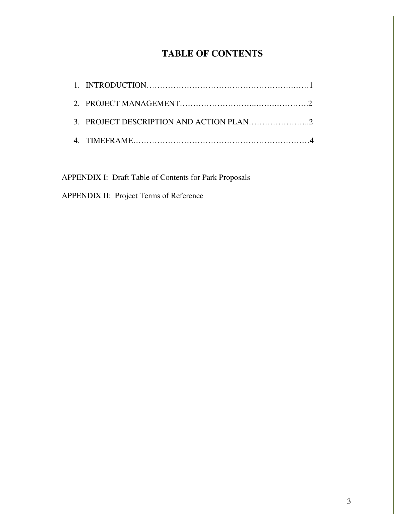# **TABLE OF CONTENTS**

APPENDIX I: Draft Table of Contents for Park Proposals

APPENDIX II: Project Terms of Reference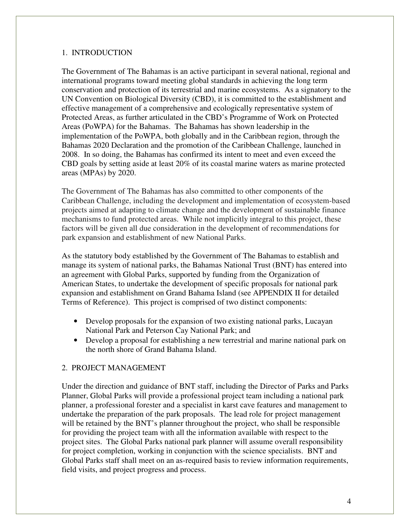# 1. INTRODUCTION

The Government of The Bahamas is an active participant in several national, regional and international programs toward meeting global standards in achieving the long term conservation and protection of its terrestrial and marine ecosystems. As a signatory to the UN Convention on Biological Diversity (CBD), it is committed to the establishment and effective management of a comprehensive and ecologically representative system of Protected Areas, as further articulated in the CBD's Programme of Work on Protected Areas (PoWPA) for the Bahamas. The Bahamas has shown leadership in the implementation of the PoWPA, both globally and in the Caribbean region, through the Bahamas 2020 Declaration and the promotion of the Caribbean Challenge, launched in 2008. In so doing, the Bahamas has confirmed its intent to meet and even exceed the CBD goals by setting aside at least 20% of its coastal marine waters as marine protected areas (MPAs) by 2020.

The Government of The Bahamas has also committed to other components of the Caribbean Challenge, including the development and implementation of ecosystem-based projects aimed at adapting to climate change and the development of sustainable finance mechanisms to fund protected areas. While not implicitly integral to this project, these factors will be given all due consideration in the development of recommendations for park expansion and establishment of new National Parks.

As the statutory body established by the Government of The Bahamas to establish and manage its system of national parks, the Bahamas National Trust (BNT) has entered into an agreement with Global Parks, supported by funding from the Organization of American States, to undertake the development of specific proposals for national park expansion and establishment on Grand Bahama Island (see APPENDIX II for detailed Terms of Reference). This project is comprised of two distinct components:

- Develop proposals for the expansion of two existing national parks, Lucayan National Park and Peterson Cay National Park; and
- Develop a proposal for establishing a new terrestrial and marine national park on the north shore of Grand Bahama Island.

# 2. PROJECT MANAGEMENT

Under the direction and guidance of BNT staff, including the Director of Parks and Parks Planner, Global Parks will provide a professional project team including a national park planner, a professional forester and a specialist in karst cave features and management to undertake the preparation of the park proposals. The lead role for project management will be retained by the BNT's planner throughout the project, who shall be responsible for providing the project team with all the information available with respect to the project sites. The Global Parks national park planner will assume overall responsibility for project completion, working in conjunction with the science specialists. BNT and Global Parks staff shall meet on an as-required basis to review information requirements, field visits, and project progress and process.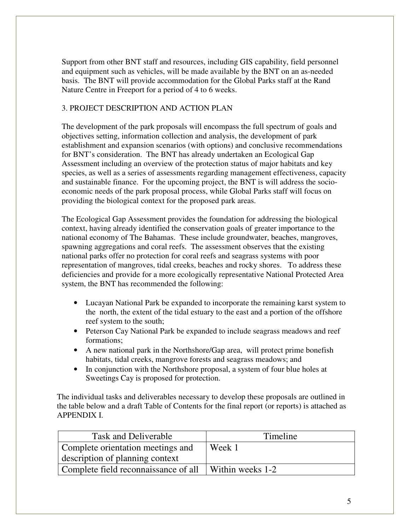Support from other BNT staff and resources, including GIS capability, field personnel and equipment such as vehicles, will be made available by the BNT on an as-needed basis. The BNT will provide accommodation for the Global Parks staff at the Rand Nature Centre in Freeport for a period of 4 to 6 weeks.

# 3. PROJECT DESCRIPTION AND ACTION PLAN

The development of the park proposals will encompass the full spectrum of goals and objectives setting, information collection and analysis, the development of park establishment and expansion scenarios (with options) and conclusive recommendations for BNT's consideration. The BNT has already undertaken an Ecological Gap Assessment including an overview of the protection status of major habitats and key species, as well as a series of assessments regarding management effectiveness, capacity and sustainable finance. For the upcoming project, the BNT is will address the socioeconomic needs of the park proposal process, while Global Parks staff will focus on providing the biological context for the proposed park areas.

The Ecological Gap Assessment provides the foundation for addressing the biological context, having already identified the conservation goals of greater importance to the national economy of The Bahamas. These include groundwater, beaches, mangroves, spawning aggregations and coral reefs. The assessment observes that the existing national parks offer no protection for coral reefs and seagrass systems with poor representation of mangroves, tidal creeks, beaches and rocky shores. To address these deficiencies and provide for a more ecologically representative National Protected Area system, the BNT has recommended the following:

- Lucayan National Park be expanded to incorporate the remaining karst system to the north, the extent of the tidal estuary to the east and a portion of the offshore reef system to the south;
- Peterson Cay National Park be expanded to include seagrass meadows and reef formations;
- A new national park in the Northshore/Gap area, will protect prime bonefish habitats, tidal creeks, mangrove forests and seagrass meadows; and
- In conjunction with the Northshore proposal, a system of four blue holes at Sweetings Cay is proposed for protection.

The individual tasks and deliverables necessary to develop these proposals are outlined in the table below and a draft Table of Contents for the final report (or reports) is attached as APPENDIX I.

| Task and Deliverable                 | Timeline         |
|--------------------------------------|------------------|
| Complete orientation meetings and    | Week 1           |
| description of planning context      |                  |
| Complete field reconnaissance of all | Within weeks 1-2 |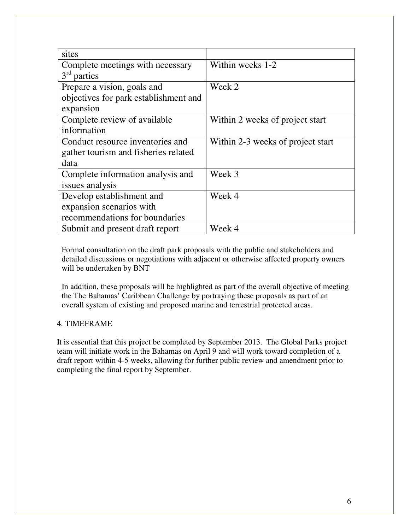| sites                                 |                                   |
|---------------------------------------|-----------------------------------|
| Complete meetings with necessary      | Within weeks 1-2                  |
| $3rd$ parties                         |                                   |
| Prepare a vision, goals and           | Week 2                            |
| objectives for park establishment and |                                   |
| expansion                             |                                   |
| Complete review of available          | Within 2 weeks of project start   |
| information                           |                                   |
| Conduct resource inventories and      | Within 2-3 weeks of project start |
| gather tourism and fisheries related  |                                   |
| data                                  |                                   |
| Complete information analysis and     | Week 3                            |
| issues analysis                       |                                   |
| Develop establishment and             | Week 4                            |
| expansion scenarios with              |                                   |
| recommendations for boundaries        |                                   |
| Submit and present draft report       | Week 4                            |

Formal consultation on the draft park proposals with the public and stakeholders and detailed discussions or negotiations with adjacent or otherwise affected property owners will be undertaken by BNT

In addition, these proposals will be highlighted as part of the overall objective of meeting the The Bahamas' Caribbean Challenge by portraying these proposals as part of an overall system of existing and proposed marine and terrestrial protected areas.

# 4. TIMEFRAME

It is essential that this project be completed by September 2013. The Global Parks project team will initiate work in the Bahamas on April 9 and will work toward completion of a draft report within 4-5 weeks, allowing for further public review and amendment prior to completing the final report by September.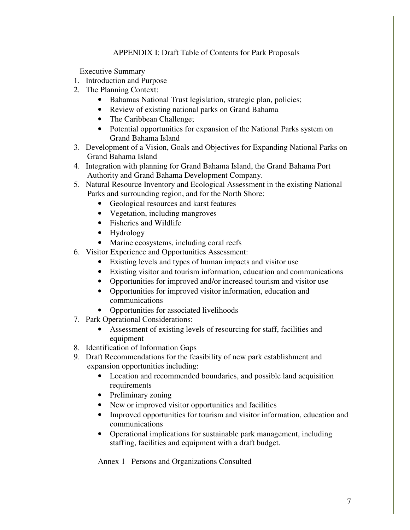# APPENDIX I: Draft Table of Contents for Park Proposals

Executive Summary

- 1. Introduction and Purpose
- 2. The Planning Context:
	- Bahamas National Trust legislation, strategic plan, policies;
	- Review of existing national parks on Grand Bahama
	- The Caribbean Challenge;
	- Potential opportunities for expansion of the National Parks system on Grand Bahama Island
- 3. Development of a Vision, Goals and Objectives for Expanding National Parks on Grand Bahama Island
- 4. Integration with planning for Grand Bahama Island, the Grand Bahama Port Authority and Grand Bahama Development Company.
- 5. Natural Resource Inventory and Ecological Assessment in the existing National Parks and surrounding region, and for the North Shore:
	- Geological resources and karst features
	- Vegetation, including mangroves
	- Fisheries and Wildlife
	- Hydrology
	- Marine ecosystems, including coral reefs
- 6. Visitor Experience and Opportunities Assessment:
	- Existing levels and types of human impacts and visitor use
	- Existing visitor and tourism information, education and communications
	- Opportunities for improved and/or increased tourism and visitor use
	- Opportunities for improved visitor information, education and communications
	- Opportunities for associated livelihoods
- 7. Park Operational Considerations:
	- Assessment of existing levels of resourcing for staff, facilities and equipment
- 8. Identification of Information Gaps
- 9. Draft Recommendations for the feasibility of new park establishment and expansion opportunities including:
	- Location and recommended boundaries, and possible land acquisition requirements
	- Preliminary zoning
	- New or improved visitor opportunities and facilities
	- Improved opportunities for tourism and visitor information, education and communications
	- Operational implications for sustainable park management, including staffing, facilities and equipment with a draft budget.

Annex 1 Persons and Organizations Consulted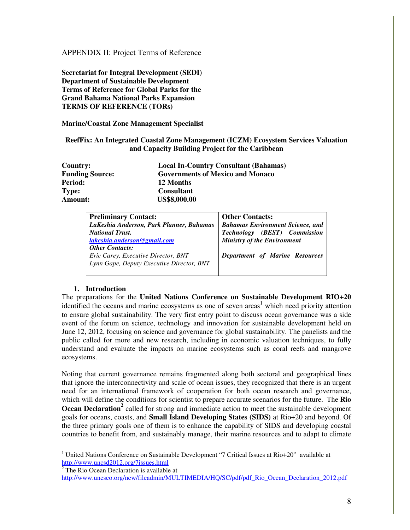# APPENDIX II: Project Terms of Reference

**Secretariat for Integral Development (SEDI) Department of Sustainable Development Terms of Reference for Global Parks for the Grand Bahama National Parks Expansion TERMS OF REFERENCE (TORs)**

**Marine/Coastal Zone Management Specialist** 

# **ReefFix: An Integrated Coastal Zone Management (ICZM) Ecosystem Services Valuation and Capacity Building Project for the Caribbean**

| Country:               | <b>Local In-Country Consultant (Bahamas)</b> |
|------------------------|----------------------------------------------|
| <b>Funding Source:</b> | <b>Governments of Mexico and Monaco</b>      |
| Period:                | 12 Months                                    |
| Type:                  | <b>Consultant</b>                            |
| Amount:                | <b>US\$8,000.00</b>                          |

| <b>Preliminary Contact:</b>               | <b>Other Contacts:</b>                  |
|-------------------------------------------|-----------------------------------------|
| LaKeshia Anderson, Park Planner, Bahamas  | <b>Bahamas Environment Science, and</b> |
| <b>National Trust.</b>                    | Technology (BEST) Commission            |
| lakeshia.anderson@gmail.com               | <b>Ministry of the Environment</b>      |
| <b>Other Contacts:</b>                    |                                         |
| Eric Carey, Executive Director, BNT       | Department of Marine Resources          |
| Lynn Gape, Deputy Executive Director, BNT |                                         |
|                                           |                                         |

# **1. Introduction**

The preparations for the **United Nations Conference on Sustainable Development RIO+20** identified the oceans and marine ecosystems as one of seven areas<sup>1</sup> which need priority attention to ensure global sustainability. The very first entry point to discuss ocean governance was a side event of the forum on science, technology and innovation for sustainable development held on June 12, 2012, focusing on science and governance for global sustainability. The panelists and the public called for more and new research, including in economic valuation techniques, to fully understand and evaluate the impacts on marine ecosystems such as coral reefs and mangrove ecosystems.

Noting that current governance remains fragmented along both sectoral and geographical lines that ignore the interconnectivity and scale of ocean issues, they recognized that there is an urgent need for an international framework of cooperation for both ocean research and governance, which will define the conditions for scientist to prepare accurate scenarios for the future. The **Rio Ocean Declaration<sup>2</sup>** called for strong and immediate action to meet the sustainable development goals for oceans, coasts, and **Small Island Developing States (SIDS)** at Rio+20 and beyond. Of the three primary goals one of them is to enhance the capability of SIDS and developing coastal countries to benefit from, and sustainably manage, their marine resources and to adapt to climate

 $\overline{a}$ 

<sup>&</sup>lt;sup>1</sup> United Nations Conference on Sustainable Development "7 Critical Issues at Rio+20" available at http://www.uncsd2012.org/7issues.html<br><sup>2</sup> The Rio Ocean Declaration is available at

http://www.unesco.org/new/fileadmin/MULTIMEDIA/HQ/SC/pdf/pdf\_Rio\_Ocean\_Declaration\_2012.pdf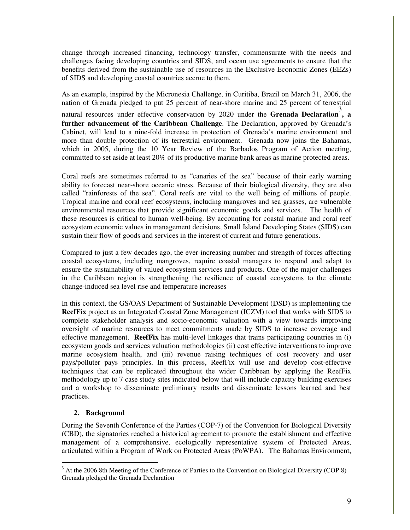change through increased financing, technology transfer, commensurate with the needs and challenges facing developing countries and SIDS, and ocean use agreements to ensure that the benefits derived from the sustainable use of resources in the Exclusive Economic Zones (EEZs) of SIDS and developing coastal countries accrue to them.

As an example, inspired by the Micronesia Challenge, in Curitiba, Brazil on March 31, 2006, the nation of Grenada pledged to put 25 percent of near-shore marine and 25 percent of terrestrial natural resources under effective conservation by 2020 under the **Grenada Declaration**, a **further advancement of the Caribbean Challenge**. The Declaration, approved by Grenada's Cabinet, will lead to a nine-fold increase in protection of Grenada's marine environment and more than double protection of its terrestrial environment. Grenada now joins the Bahamas, which in 2005, during the 10 Year Review of the Barbados Program of Action meeting, committed to set aside at least 20% of its productive marine bank areas as marine protected areas.

Coral reefs are sometimes referred to as "canaries of the sea" because of their early warning ability to forecast near-shore oceanic stress. Because of their biological diversity, they are also called "rainforests of the sea". Coral reefs are vital to the well being of millions of people. Tropical marine and coral reef ecosystems, including mangroves and sea grasses, are vulnerable environmental resources that provide significant economic goods and services. The health of these resources is critical to human well-being. By accounting for coastal marine and coral reef ecosystem economic values in management decisions, Small Island Developing States (SIDS) can sustain their flow of goods and services in the interest of current and future generations.

Compared to just a few decades ago, the ever-increasing number and strength of forces affecting coastal ecosystems, including mangroves, require coastal managers to respond and adapt to ensure the sustainability of valued ecosystem services and products. One of the major challenges in the Caribbean region is strengthening the resilience of coastal ecosystems to the climate change-induced sea level rise and temperature increases

In this context, the GS/OAS Department of Sustainable Development (DSD) is implementing the **ReefFix** project as an Integrated Coastal Zone Management (ICZM) tool that works with SIDS to complete stakeholder analysis and socio-economic valuation with a view towards improving oversight of marine resources to meet commitments made by SIDS to increase coverage and effective management. **ReefFix** has multi-level linkages that trains participating countries in (i) ecosystem goods and services valuation methodologies (ii) cost effective interventions to improve marine ecosystem health, and (iii) revenue raising techniques of cost recovery and user pays/polluter pays principles. In this process, ReefFix will use and develop cost-effective techniques that can be replicated throughout the wider Caribbean by applying the ReefFix methodology up to 7 case study sites indicated below that will include capacity building exercises and a workshop to disseminate preliminary results and disseminate lessons learned and best practices.

# **2. Background**

During the Seventh Conference of the Parties (COP-7) of the Convention for Biological Diversity (CBD), the signatories reached a historical agreement to promote the establishment and effective management of a comprehensive, ecologically representative system of Protected Areas, articulated within a Program of Work on Protected Areas (PoWPA). The Bahamas Environment,

<sup>&</sup>lt;sup>3</sup> At the 2006 8th Meeting of the Conference of Parties to the Convention on Biological Diversity (COP 8) Grenada pledged the Grenada Declaration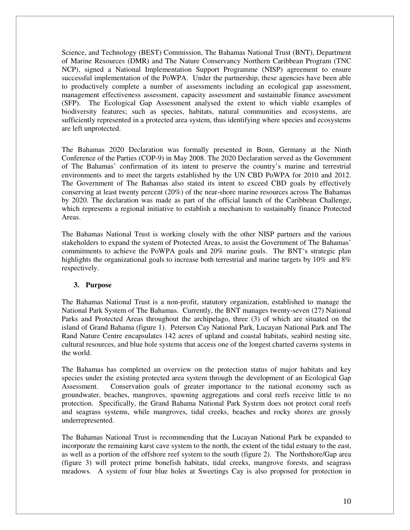Science, and Technology (BEST) Commission, The Bahamas National Trust (BNT), Department of Marine Resources (DMR) and The Nature Conservancy Northern Caribbean Program (TNC NCP), signed a National Implementation Support Programme (NISP) agreement to ensure successful implementation of the PoWPA. Under the partnership, these agencies have been able to productively complete a number of assessments including an ecological gap assessment, management effectiveness assessment, capacity assessment and sustainable finance assessment (SFP). The Ecological Gap Assessment analysed the extent to which viable examples of biodiversity features; such as species, habitats, natural communities and ecosystems, are sufficiently represented in a protected area system, thus identifying where species and ecosystems are left unprotected.

The Bahamas 2020 Declaration was formally presented in Bonn, Germany at the Ninth Conference of the Parties (COP-9) in May 2008. The 2020 Declaration served as the Government of The Bahamas' confirmation of its intent to preserve the country's marine and terrestrial environments and to meet the targets established by the UN CBD PoWPA for 2010 and 2012. The Government of The Bahamas also stated its intent to exceed CBD goals by effectively conserving at least twenty percent (20%) of the near-shore marine resources across The Bahamas by 2020. The declaration was made as part of the official launch of the Caribbean Challenge, which represents a regional initiative to establish a mechanism to sustainably finance Protected Areas.

The Bahamas National Trust is working closely with the other NISP partners and the various stakeholders to expand the system of Protected Areas, to assist the Government of The Bahamas' commitments to achieve the PoWPA goals and 20% marine goals. The BNT's strategic plan highlights the organizational goals to increase both terrestrial and marine targets by 10% and 8% respectively.

#### **3. Purpose**

The Bahamas National Trust is a non-profit, statutory organization, established to manage the National Park System of The Bahamas. Currently, the BNT manages twenty-seven (27) National Parks and Protected Areas throughout the archipelago, three (3) of which are situated on the island of Grand Bahama (figure 1). Peterson Cay National Park, Lucayan National Park and The Rand Nature Centre encapsulates 142 acres of upland and coastal habitats, seabird nesting site, cultural resources, and blue hole systems that access one of the longest charted caverns systems in the world.

The Bahamas has completed an overview on the protection status of major habitats and key species under the existing protected area system through the development of an Ecological Gap Assessment. Conservation goals of greater importance to the national economy such as groundwater, beaches, mangroves, spawning aggregations and coral reefs receive little to no protection. Specifically, the Grand Bahama National Park System does not protect coral reefs and seagrass systems, while mangroves, tidal creeks, beaches and rocky shores are grossly underrepresented.

The Bahamas National Trust is recommending that the Lucayan National Park be expanded to incorporate the remaining karst cave system to the north, the extent of the tidal estuary to the east, as well as a portion of the offshore reef system to the south (figure 2). The Northshore/Gap area (figure 3) will protect prime bonefish habitats, tidal creeks, mangrove forests, and seagrass meadows. A system of four blue holes at Sweetings Cay is also proposed for protection in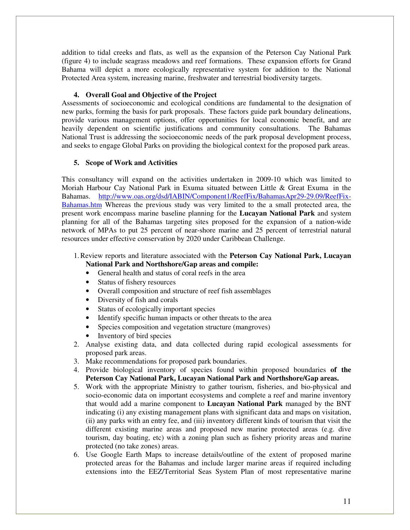addition to tidal creeks and flats, as well as the expansion of the Peterson Cay National Park (figure 4) to include seagrass meadows and reef formations. These expansion efforts for Grand Bahama will depict a more ecologically representative system for addition to the National Protected Area system, increasing marine, freshwater and terrestrial biodiversity targets.

# **4. Overall Goal and Objective of the Project**

Assessments of socioeconomic and ecological conditions are fundamental to the designation of new parks, forming the basis for park proposals. These factors guide park boundary delineations, provide various management options, offer opportunities for local economic benefit, and are heavily dependent on scientific justifications and community consultations. The Bahamas National Trust is addressing the socioeconomic needs of the park proposal development process, and seeks to engage Global Parks on providing the biological context for the proposed park areas.

#### **5. Scope of Work and Activities**

This consultancy will expand on the activities undertaken in 2009-10 which was limited to Moriah Harbour Cay National Park in Exuma situated between Little & Great Exuma in the Bahamas. http://www.oas.org/dsd/IABIN/Component1/ReefFix/BahamasApr29-29.09/ReefFix-Bahamas.htm Whereas the previous study was very limited to the a small protected area, the present work encompass marine baseline planning for the **Lucayan National Park** and system planning for all of the Bahamas targeting sites proposed for the expansion of a nation-wide network of MPAs to put 25 percent of near-shore marine and 25 percent of terrestrial natural resources under effective conservation by 2020 under Caribbean Challenge.

#### 1.Review reports and literature associated with the **Peterson Cay National Park, Lucayan National Park and Northshore/Gap areas and compile:**

- General health and status of coral reefs in the area
- Status of fishery resources
- Overall composition and structure of reef fish assemblages
- Diversity of fish and corals
- Status of ecologically important species
- Identify specific human impacts or other threats to the area
- Species composition and vegetation structure (mangroves)
- Inventory of bird species
- 2. Analyse existing data, and data collected during rapid ecological assessments for proposed park areas.
- 3. Make recommendations for proposed park boundaries.
- 4. Provide biological inventory of species found within proposed boundaries **of the Peterson Cay National Park, Lucayan National Park and Northshore/Gap areas.**
- 5. Work with the appropriate Ministry to gather tourism, fisheries, and bio-physical and socio-economic data on important ecosystems and complete a reef and marine inventory that would add a marine component to **Lucayan National Park** managed by the BNT indicating (i) any existing management plans with significant data and maps on visitation, (ii) any parks with an entry fee, and (iii) inventory different kinds of tourism that visit the different existing marine areas and proposed new marine protected areas (e.g. dive tourism, day boating, etc) with a zoning plan such as fishery priority areas and marine protected (no take zones) areas.
- 6. Use Google Earth Maps to increase details/outline of the extent of proposed marine protected areas for the Bahamas and include larger marine areas if required including extensions into the EEZ/Territorial Seas System Plan of most representative marine